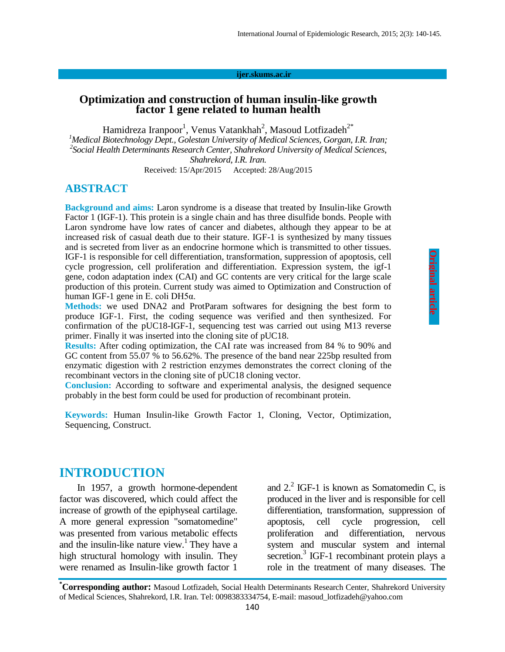#### **ijer.skums.ac.ir**

### **Optimization and construction of human insulin-like growth factor 1 gene related to human health**

Hamidreza Iranpoor<sup>1</sup>, Venus Vatankhah<sup>2</sup>, Masoud Lotfizadeh<sup>2\*</sup> *<sup>1</sup>Medical Biotechnology Dept., Golestan University of Medical Sciences, Gorgan, I.R. Iran; 2 Social Health Determinants Research Center, Shahrekord University of Medical Sciences, Shahrekord, I.R. Iran.*

Received: 15/Apr/2015 Accepted: 28/Aug/2015

### **ABSTRACT**

**Background and aims:** Laron syndrome is a disease that treated by Insulin-like Growth Factor 1 (IGF-1). This protein is a single chain and has three disulfide bonds. People with Laron syndrome have low rates of cancer and diabetes, although they appear to be at increased risk of casual death due to their stature. IGF-1 is synthesized by many tissues and is secreted from liver as an endocrine hormone which is transmitted to other tissues. IGF-1 is responsible for cell differentiation, transformation, suppression of apoptosis, cell cycle progression, cell proliferation and differentiation. Expression system, the igf-1 gene, codon adaptation index (CAI) and GC contents are very critical for the large scale production of this protein. Current study was aimed to Optimization and Construction of human IGF-1 gene in E. coli DH5α.

**Methods:** we used DNA2 and ProtParam softwares for designing the best form to produce IGF-1. First, the coding sequence was verified and then synthesized. For confirmation of the pUC18-IGF-1, sequencing test was carried out using M13 reverse primer. Finally it was inserted into the cloning site of pUC18.

**Results:** After coding optimization, the CAI rate was increased from 84 % to 90% and GC content from 55.07 % to 56.62%. The presence of the band near 225bp resulted from enzymatic digestion with 2 restriction enzymes demonstrates the correct cloning of the recombinant vectors in the cloning site of pUC18 cloning vector.

**Conclusion:** According to software and experimental analysis, the designed sequence probably in the best form could be used for production of recombinant protein.

**Keywords:** Human Insulin-like Growth Factor 1, Cloning, Vector, Optimization, Sequencing, Construct.

# **INTRODUCTION**

In 1957, a growth hormone-dependent factor was discovered, which could affect the increase of growth of the epiphyseal cartilage. A more general expression "somatomedine" was presented from various metabolic effects and the insulin-like nature view.<sup>1</sup> They have a high structural homology with insulin. They were renamed as Insulin-like growth factor 1

and  $2<sup>2</sup>$  IGF-1 is known as Somatomedin C, is produced in the liver and is responsible for cell differentiation, transformation, suppression of apoptosis, cell cycle progression, cell proliferation and differentiation, nervous system and muscular system and internal secretion.<sup>3</sup> IGF-1 recombinant protein plays a role in the treatment of many diseases. The

**Original articl Original article** 

**<sup>\*</sup>Corresponding author:** Masoud Lotfizadeh, Social Health Determinants Research Center, Shahrekord University of Medical Sciences, Shahrekord, I.R. Iran. Tel: 0098383334754, E-mail: masoud\_lotfizadeh@yahoo.com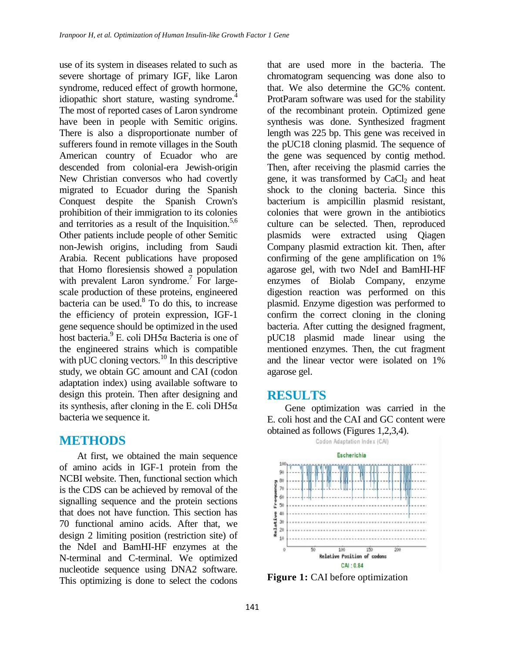use of its system in diseases related to such as severe shortage of primary IGF, like Laron syndrome, reduced effect of growth hormone, idiopathic short stature, wasting syndrome.<sup>4</sup> The most of reported cases of Laron syndrome have been in people with Semitic origins. There is also a disproportionate number of sufferers found in remote villages in the South American country of Ecuador who are descended from colonial-era Jewish-origin New Christian conversos who had covertly migrated to Ecuador during the Spanish Conquest despite the Spanish Crown's prohibition of their immigration to its colonies and territories as a result of the Inquisition. $5,6$ Other patients include people of other Semitic non-Jewish origins, including from Saudi Arabia. Recent publications have proposed that Homo floresiensis showed a population with prevalent Laron syndrome.<sup>7</sup> For largescale production of these proteins, engineered bacteria can be used. $8 \overline{7}$  To do this, to increase the efficiency of protein expression, IGF-1 gene sequence should be optimized in the used host bacteria.<sup>9</sup> E. coli DH5α Bacteria is one of the engineered strains which is compatible with pUC cloning vectors.<sup>10</sup> In this descriptive study, we obtain GC amount and CAI (codon adaptation index) using available software to design this protein. Then after designing and its synthesis, after cloning in the E. coli DH5 $\alpha$ bacteria we sequence it.

# **METHODS**

At first, we obtained the main sequence of amino acids in IGF-1 protein from the NCBI website. Then, functional section which is the CDS can be achieved by removal of the signalling sequence and the protein sections that does not have function. This section has 70 functional amino acids. After that, we design 2 limiting position (restriction site) of the NdeI and BamHI-HF enzymes at the N-terminal and C-terminal. We optimized nucleotide sequence using DNA2 software. This optimizing is done to select the codons

that are used more in the bacteria. The chromatogram sequencing was done also to that. We also determine the GC% content. ProtParam software was used for the stability of the recombinant protein. Optimized gene synthesis was done. Synthesized fragment length was 225 bp. This gene was received in the pUC18 cloning plasmid. The sequence of the gene was sequenced by contig method. Then, after receiving the plasmid carries the gene, it was transformed by  $CaCl<sub>2</sub>$  and heat shock to the cloning bacteria. Since this bacterium is ampicillin plasmid resistant, colonies that were grown in the antibiotics culture can be selected. Then, reproduced plasmids were extracted using Qiagen Company plasmid extraction kit. Then, after confirming of the gene amplification on 1% agarose gel, with two NdeI and BamHI-HF enzymes of Biolab Company, enzyme digestion reaction was performed on this plasmid. Enzyme digestion was performed to confirm the correct cloning in the cloning bacteria. After cutting the designed fragment, pUC18 plasmid made linear using the mentioned enzymes. Then, the cut fragment and the linear vector were isolated on 1% agarose gel.

# **RESULTS**

Gene optimization was carried in the E. coli host and the CAI and GC content were obtained as follows (Figures 1,2,3,4).



**Figure 1:** CAI before optimization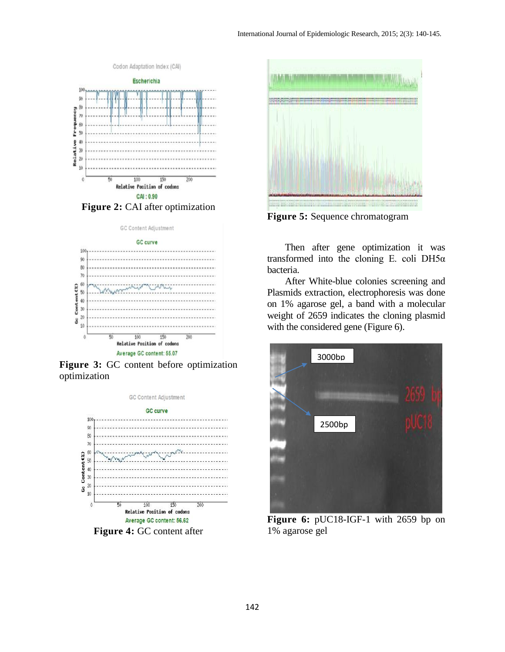



**Figure 3:** GC content before optimization optimization



**Figure 4:** GC content after



**Figure 5:** Sequence chromatogram

Then after gene optimization it was transformed into the cloning E. coli DH5 $\alpha$ bacteria.

After White-blue colonies screening and Plasmids extraction, electrophoresis was done on 1% agarose gel, a band with a molecular weight of 2659 indicates the cloning plasmid with the considered gene (Figure 6).



**Figure 6:** pUC18-IGF-1 with 2659 bp on 1% agarose gel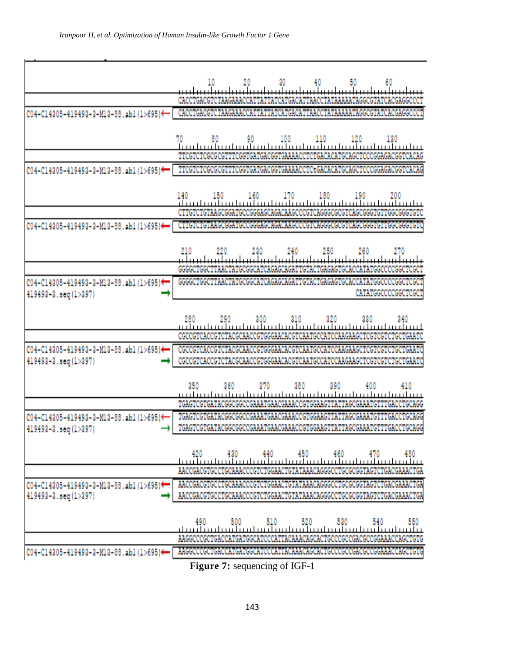$\mathbf{w}$  .

ľ

| C04-C14305-419493-3-M13-88.ab1(1>695)←                         | CACCTGACGTCTAAGAAACCATTATTATCATGACATTAACCTATAAAAATAGGCGTATCACGAGGCCCT                                                                          |
|----------------------------------------------------------------|------------------------------------------------------------------------------------------------------------------------------------------------|
|                                                                |                                                                                                                                                |
|                                                                |                                                                                                                                                |
| C04-C14305-419493-3-M13-88.ab1(1>695)←                         | TTCGTCTCGCGCGTTTCGGTGATGACGGTGAAAACCTCtGACACATGCAGCTCCCGGAGACGGTCACAG                                                                          |
|                                                                |                                                                                                                                                |
|                                                                |                                                                                                                                                |
| C04-C14305-419493-3-M13-88.ab1(1>695)<                         | Dirində dirdə kadası da andala da alanda alanda adıqlarda diktatalarda da diktatasa də indaktatası də də                                       |
|                                                                |                                                                                                                                                |
|                                                                |                                                                                                                                                |
|                                                                |                                                                                                                                                |
| C04-C14305-419493-3-M13-88.ab1(1>695)*<br>419493-3.seq(1>397)  | GGGGCTGGCTTAACTATGCGGCATCAGAGCAGATTGTACTGAGAGTGCACCATATGGCCCCGGCTCGC<br>CATATGGCCCCGGCTCGCT                                                    |
|                                                                |                                                                                                                                                |
|                                                                |                                                                                                                                                |
|                                                                |                                                                                                                                                |
| C04-C14305-419493-3-M13-88.ab1(1>695)←<br>419493-3.seq(1>397)  | CGCCGTCACCGTCTACGCAACCGTGGGAACACGTCAATGCCATCCAAGAAGCTCGTCGTCTGCTGAATC<br>CGCCGTCACCGTCTACGCAACCGTGGGAACACGTCAATGCCATCCAAGAAGCTCGTCGTCTGCTGAATC |
|                                                                | 350<br>360<br>410<br>370<br>390<br>400                                                                                                         |
|                                                                | 380<br>TGAGTCGTGATACGGCGGCCGAAATGAACGAAACCGTGGAAGTTATTAGCGAAATGTTTGACCTGCAGG                                                                   |
|                                                                |                                                                                                                                                |
| C04-C14305-419493-3-M13-88.ab1(1>695)←<br>419493-3.seg (1>397) | TGAGTCGTGATACGGCGGCCGAAATGAACGAAACCGTGGAAGTTATTAGCGAAATGTTTGACCTGCAGG<br>TGAGTCGTGATACGGCGGCCGAAATGAACGAAACCGTGGAAGTTATTAGCGAAATGTTTGACCTGCAGG |
|                                                                |                                                                                                                                                |
|                                                                |                                                                                                                                                |
|                                                                |                                                                                                                                                |
| C04-C14305-419493-3-M13-88.ab1(1>695)+<br>419493-3.seq(1>397)  | AACCGACGTGCCTGCAAACCCGTCTGGAACTGTATAAACAGGGCCTGCGCGGTAGTCTGACGAAAC<br>AACCGACGTGCCTGCAAACCCGTCTGGAACTGTATAAACAGGGCCTGCGCGGTAGTCTGACGAAACTGA    |
|                                                                |                                                                                                                                                |
|                                                                | 490<br>550                                                                                                                                     |
|                                                                | AAGGCCCGCTGACCATGATGGCATCCCATTACAAACAGCACTGCCCGCCGACGCCGGAAACCAGG                                                                              |
| C04-C14305-419493-3-M13-88.ab1(1>695)←                         | A REGONO CON CARONA I CAN CEONA NO ONANA RA A ARCHA POR CON OCHOCO CON CEONECA A ARCHA CON CON                                                 |

**Figure 7:** sequencing of IGF-1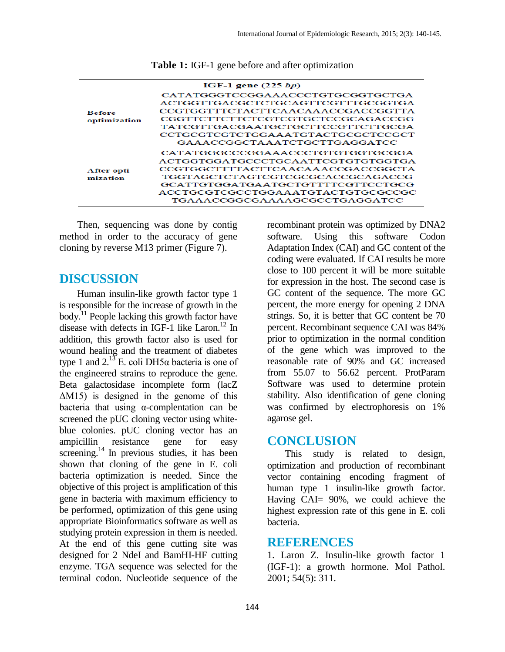| IGF-1 gene $(225 bp)$         |                                                                        |  |
|-------------------------------|------------------------------------------------------------------------|--|
| <b>Before</b><br>optimization | CATATGGGTCCGGAAACCCTGTGCGGTGCTGA                                       |  |
|                               | ACTGGTTGACGCTCTGCAGTTCGTTTGCGGTGA<br>CCGTGGTTTCTACTTCAACAAACCGACCGGTTA |  |
|                               | CGGTTCTTCTTCTCGTCGTGCTCCGCAGACCGG                                      |  |
|                               | TATCGTTGACGAATGCTGCTTCCGTTCTTGCGA                                      |  |
|                               | CCTGCGTCGTCTGGAAATGTACTGCGCTCCGCT<br>GAAACCGGCTAAATCTGCTTGAGGATCC      |  |
| After opti-<br>mization       | CATATGGGCCCGGAAACCCTGTGTGGGTGCGGA                                      |  |
|                               | ACTGGTGGATGCCCTGCAATTCGTGTGTGGTGA<br>CCGTGGCTTTTACTTCAACAAACCGACCGGCTA |  |
|                               | TGGTAGCTCTAGTCGTCGCGCACCGCAGACCG<br>GCATTGTGGATGAATGCTGTTTTCGTTCCTGCG  |  |
|                               | ACCTGCGTCGCCTGGAAATGTACTGTGCGCCGC<br>TGAAACCGGCGAAAAGCGCCTGAGGATCC     |  |

**Table 1:** IGF-1 gene before and after optimization

Then, sequencing was done by contig method in order to the accuracy of gene cloning by reverse M13 primer (Figure 7).

### **DISCUSSION**

Human insulin-like growth factor type 1 is responsible for the increase of growth in the body.<sup>11</sup> People lacking this growth factor have disease with defects in IGF-1 like Laron.<sup>12</sup> In addition, this growth factor also is used for wound healing and the treatment of diabetes type 1 and  $2.^{13}$  E. coli DH5α bacteria is one of the engineered strains to reproduce the gene. Beta galactosidase incomplete form (lacZ ΔM15) is designed in the genome of this bacteria that using α-complentation can be screened the pUC cloning vector using whiteblue colonies. pUC cloning vector has an ampicillin resistance gene for easy screening.<sup>14</sup> In previous studies, it has been shown that cloning of the gene in E. coli bacteria optimization is needed. Since the objective of this project is amplification of this gene in bacteria with maximum efficiency to be performed, optimization of this gene using appropriate Bioinformatics software as well as studying protein expression in them is needed. At the end of this gene cutting site was designed for 2 NdeI and BamHI-HF cutting enzyme. TGA sequence was selected for the terminal codon. Nucleotide sequence of the

recombinant protein was optimized by DNA2 software. Using this software Codon Adaptation Index (CAI) and GC content of the coding were evaluated. If CAI results be more close to 100 percent it will be more suitable for expression in the host. The second case is GC content of the sequence. The more GC percent, the more energy for opening 2 DNA strings. So, it is better that GC content be 70 percent. Recombinant sequence CAI was 84% prior to optimization in the normal condition of the gene which was improved to the reasonable rate of 90% and GC increased from 55.07 to 56.62 percent. ProtParam Software was used to determine protein stability. Also identification of gene cloning was confirmed by electrophoresis on 1% agarose gel.

## **CONCLUSION**

This study is related to design, optimization and production of recombinant vector containing encoding fragment of human type 1 insulin-like growth factor. Having CAI= 90%, we could achieve the highest expression rate of this gene in E. coli bacteria.

#### **REFERENCES**

1. Laron Z. Insulin-like growth factor 1 (IGF-1): a growth hormone. Mol Pathol. 2001; 54(5): 311.